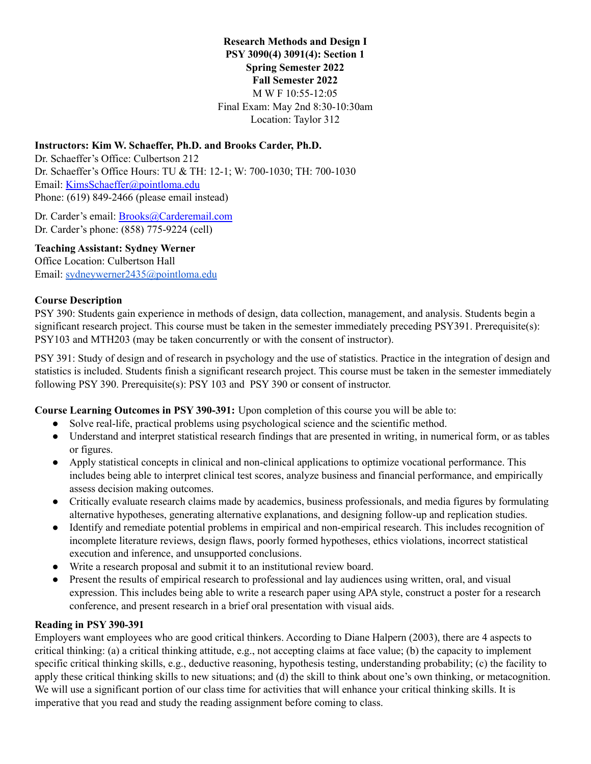### **Research Methods and Design I PSY 3090(4) 3091(4): Section 1 Spring Semester 2022 Fall Semester 2022** M W F 10:55-12:05 Final Exam: May 2nd 8:30-10:30am Location: Taylor 312

### **Instructors: Kim W. Schaeffer, Ph.D. and Brooks Carder, Ph.D.**

Dr. Schaeffer's Office: Culbertson 212 Dr. Schaeffer's Office Hours: TU & TH: 12-1; W: 700-1030; TH: 700-1030 Email: KimsSchaeffer@pointloma.edu Phone: (619) 849-2466 (please email instead)

Dr. Carder's email: [Brooks@Carderemail.com](mailto:Brooks@Carderemail.com) Dr. Carder's phone: (858) 775-9224 (cell)

#### **Teaching Assistant: Sydney Werner**

Office Location: Culbertson Hall Email: [sydneywerner2435@pointloma.edu](mailto:sydneywerner2435@pointloma.edu)

#### **Course Description**

PSY 390: Students gain experience in methods of design, data collection, management, and analysis. Students begin a significant research project. This course must be taken in the semester immediately preceding PSY391. Prerequisite(s): PSY103 and MTH203 (may be taken concurrently or with the consent of instructor).

PSY 391: Study of design and of research in psychology and the use of statistics. Practice in the integration of design and statistics is included. Students finish a significant research project. This course must be taken in the semester immediately following PSY 390. Prerequisite(s): PSY 103 and PSY 390 or consent of instructor.

**Course Learning Outcomes in PSY 390-391:** Upon completion of this course you will be able to:

- Solve real-life, practical problems using psychological science and the scientific method.
- Understand and interpret statistical research findings that are presented in writing, in numerical form, or as tables or figures.
- Apply statistical concepts in clinical and non-clinical applications to optimize vocational performance. This includes being able to interpret clinical test scores, analyze business and financial performance, and empirically assess decision making outcomes.
- Critically evaluate research claims made by academics, business professionals, and media figures by formulating alternative hypotheses, generating alternative explanations, and designing follow-up and replication studies.
- Identify and remediate potential problems in empirical and non-empirical research. This includes recognition of incomplete literature reviews, design flaws, poorly formed hypotheses, ethics violations, incorrect statistical execution and inference, and unsupported conclusions.
- Write a research proposal and submit it to an institutional review board.
- Present the results of empirical research to professional and lay audiences using written, oral, and visual expression. This includes being able to write a research paper using APA style, construct a poster for a research conference, and present research in a brief oral presentation with visual aids.

#### **Reading in PSY 390-391**

Employers want employees who are good critical thinkers. According to Diane Halpern (2003), there are 4 aspects to critical thinking: (a) a critical thinking attitude, e.g., not accepting claims at face value; (b) the capacity to implement specific critical thinking skills, e.g., deductive reasoning, hypothesis testing, understanding probability; (c) the facility to apply these critical thinking skills to new situations; and (d) the skill to think about one's own thinking, or metacognition. We will use a significant portion of our class time for activities that will enhance your critical thinking skills. It is imperative that you read and study the reading assignment before coming to class.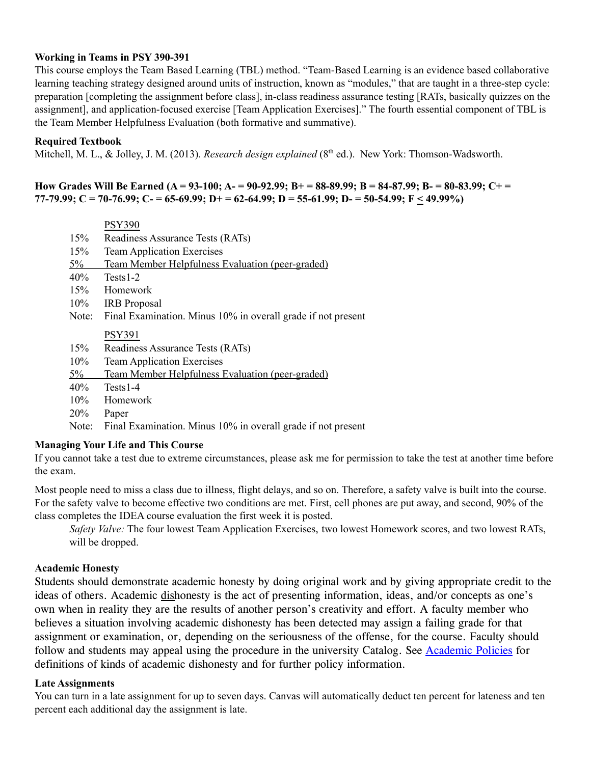#### **Working in Teams in PSY 390-391**

This course employs the Team Based Learning (TBL) method. "Team-Based Learning is an evidence based collaborative learning teaching strategy designed around units of instruction, known as "modules," that are taught in a three-step cycle: preparation [completing the assignment before class], in-class readiness assurance testing [RATs, basically quizzes on the assignment], and application-focused exercise [Team Application Exercises]." The fourth essential component of TBL is the Team Member Helpfulness Evaluation (both formative and summative).

#### **Required Textbook**

Mitchell, M. L., & Jolley, J. M. (2013). *Research design explained* (8 th ed.). New York: Thomson-Wadsworth.

#### How Grades Will Be Earned (A = 93-100; A- = 90-92.99; B+ = 88-89.99; B = 84-87.99; B- = 80-83.99; C+ = 77-79.99; C = 70-76.99; C = 65-69.99; D+ = 62-64.99; D = 55-61.99; D = 50-54.99; F < 49.99%)

|            | <b>PSY390</b>                                                |
|------------|--------------------------------------------------------------|
| 15%        | Readiness Assurance Tests (RATs)                             |
| 15%        | <b>Team Application Exercises</b>                            |
| $5\%$      | Team Member Helpfulness Evaluation (peer-graded)             |
| 40%        | Tests1-2                                                     |
| 15%        | Homework                                                     |
| $10\%$     | <b>IRB</b> Proposal                                          |
| Note:      | Final Examination. Minus 10% in overall grade if not present |
|            | <b>PSY391</b>                                                |
| 15%        | Readiness Assurance Tests (RATs)                             |
| 10%        | <b>Team Application Exercises</b>                            |
| $5\%$      | Team Member Helpfulness Evaluation (peer-graded)             |
| 40%        | $Tests1-4$                                                   |
| 10%        | Homework                                                     |
| <b>20%</b> | Paper                                                        |

Note: Final Examination. Minus 10% in overall grade if not present

### **Managing Your Life and This Course**

If you cannot take a test due to extreme circumstances, please ask me for permission to take the test at another time before the exam.

Most people need to miss a class due to illness, flight delays, and so on. Therefore, a safety valve is built into the course. For the safety valve to become effective two conditions are met. First, cell phones are put away, and second, 90% of the class completes the IDEA course evaluation the first week it is posted.

*Safety Valve:* The four lowest Team Application Exercises, two lowest Homework scores, and two lowest RATs, will be dropped.

#### **Academic Honesty**

Students should demonstrate academic honesty by doing original work and by giving appropriate credit to the ideas of others. Academic dishonesty is the act of presenting information, ideas, and/or concepts as one's own when in reality they are the results of another person's creativity and effort. A faculty member who believes a situation involving academic dishonesty has been detected may assign a failing grade for that assignment or examination, or, depending on the seriousness of the offense, for the course. Faculty should follow and students may appeal using the procedure in the university Catalog. See Academic Policies for definitions of kinds of academic dishonesty and for further policy information.

#### **Late Assignments**

You can turn in a late assignment for up to seven days. Canvas will automatically deduct ten percent for lateness and ten percent each additional day the assignment is late.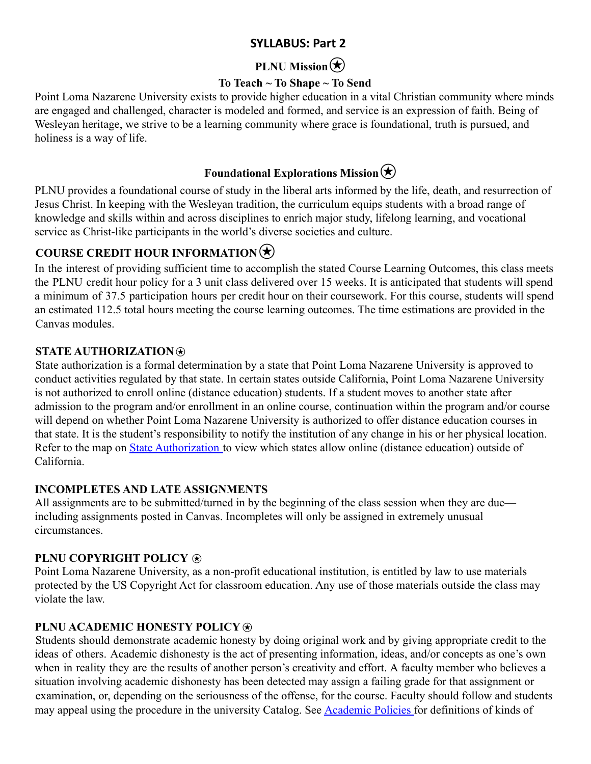# **SYLLABUS: Part 2**

# **PLNU Mission**

# **To Teach ~ To Shape ~ To Send**

Point Loma Nazarene University exists to provide higher education in a vital Christian community where minds are engaged and challenged, character is modeled and formed, and service is an expression of faith. Being of Wesleyan heritage, we strive to be a learning community where grace is foundational, truth is pursued, and holiness is a way of life.

# **Foundational Explorations Mission** $\bigotimes$

PLNU provides a foundational course of study in the liberal arts informed by the life, death, and resurrection of Jesus Christ. In keeping with the Wesleyan tradition, the curriculum equips students with a broad range of knowledge and skills within and across disciplines to enrich major study, lifelong learning, and vocational service as Christ-like participants in the world's diverse societies and culture.

# **COURSE CREDIT HOUR INFORMATION**

In the interest of providing sufficient time to accomplish the stated Course Learning Outcomes, this class meets the PLNU credit hour policy for a 3 unit class delivered over 15 weeks. It is anticipated that students will spend a minimum of 37.5 participation hours per credit hour on their coursework. For this course, students will spend an estimated 112.5 total hours meeting the course learning outcomes. The time estimations are provided in the Canvas modules.

### **STATE AUTHORIZATION**⍟

State authorization is a formal determination by a state that Point Loma Nazarene University is approved to conduct activities regulated by that state. In certain states outside California, Point Loma Nazarene University is not authorized to enroll online (distance education) students. If a student moves to another state after admission to the program and/or enrollment in an online course, continuation within the program and/or course will depend on whether Point Loma Nazarene University is authorized to offer distance education courses in that state. It is the student's responsibility to notify the institution of any change in his or her physical location. Refer to the map on State Authorization to view which states allow online (distance education) outside of California.

# **INCOMPLETES AND LATE ASSIGNMENTS**

All assignments are to be submitted/turned in by the beginning of the class session when they are due including assignments posted in Canvas. Incompletes will only be assigned in extremely unusual circumstances.

# **PLNU COPYRIGHT POLICY**  $\circledast$

Point Loma Nazarene University, as a non-profit educational institution, is entitled by law to use materials protected by the US Copyright Act for classroom education. Any use of those materials outside the class may violate the law.

### **PLNU ACADEMIC HONESTY POLICY**⍟

Students should demonstrate academic honesty by doing original work and by giving appropriate credit to the ideas of others. Academic dishonesty is the act of presenting information, ideas, and/or concepts as one's own when in reality they are the results of another person's creativity and effort. A faculty member who believes a situation involving academic dishonesty has been detected may assign a failing grade for that assignment or examination, or, depending on the seriousness of the offense, for the course. Faculty should follow and students may appeal using the procedure in the university Catalog. See Academic Policies for definitions of kinds of